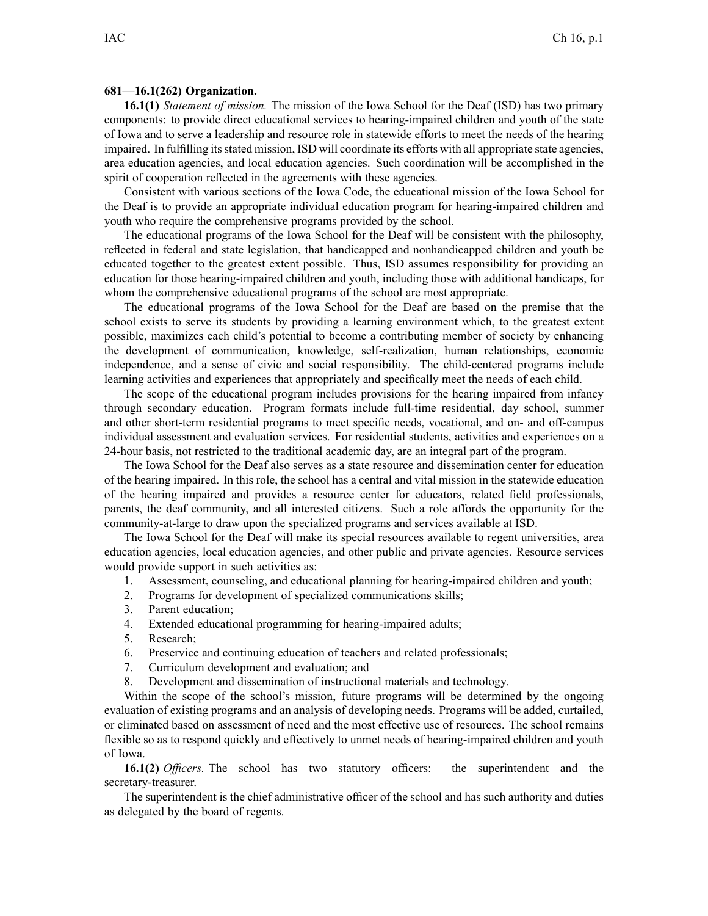## **681—16.1(262) Organization.**

**16.1(1)** *Statement of mission.* The mission of the Iowa School for the Deaf (ISD) has two primary components: to provide direct educational services to hearing-impaired children and youth of the state of Iowa and to serve <sup>a</sup> leadership and resource role in statewide efforts to meet the needs of the hearing impaired. In fulfilling itsstated mission, ISD will coordinate its efforts with all appropriate state agencies, area education agencies, and local education agencies. Such coordination will be accomplished in the spirit of cooperation reflected in the agreements with these agencies.

Consistent with various sections of the Iowa Code, the educational mission of the Iowa School for the Deaf is to provide an appropriate individual education program for hearing-impaired children and youth who require the comprehensive programs provided by the school.

The educational programs of the Iowa School for the Deaf will be consistent with the philosophy, reflected in federal and state legislation, that handicapped and nonhandicapped children and youth be educated together to the greatest extent possible. Thus, ISD assumes responsibility for providing an education for those hearing-impaired children and youth, including those with additional handicaps, for whom the comprehensive educational programs of the school are most appropriate.

The educational programs of the Iowa School for the Deaf are based on the premise that the school exists to serve its students by providing <sup>a</sup> learning environment which, to the greatest extent possible, maximizes each child's potential to become <sup>a</sup> contributing member of society by enhancing the development of communication, knowledge, self-realization, human relationships, economic independence, and <sup>a</sup> sense of civic and social responsibility. The child-centered programs include learning activities and experiences that appropriately and specifically meet the needs of each child.

The scope of the educational program includes provisions for the hearing impaired from infancy through secondary education. Program formats include full-time residential, day school, summer and other short-term residential programs to meet specific needs, vocational, and on- and off-campus individual assessment and evaluation services. For residential students, activities and experiences on <sup>a</sup> 24-hour basis, not restricted to the traditional academic day, are an integral par<sup>t</sup> of the program.

The Iowa School for the Deaf also serves as <sup>a</sup> state resource and dissemination center for education of the hearing impaired. In this role, the school has <sup>a</sup> central and vital mission in the statewide education of the hearing impaired and provides <sup>a</sup> resource center for educators, related field professionals, parents, the deaf community, and all interested citizens. Such <sup>a</sup> role affords the opportunity for the community-at-large to draw upon the specialized programs and services available at ISD.

The Iowa School for the Deaf will make its special resources available to regen<sup>t</sup> universities, area education agencies, local education agencies, and other public and private agencies. Resource services would provide suppor<sup>t</sup> in such activities as:

- 1. Assessment, counseling, and educational planning for hearing-impaired children and youth;
- 2. Programs for development of specialized communications skills;
- 3. Parent education;
- 4. Extended educational programming for hearing-impaired adults;
- 5. Research;
- 6. Preservice and continuing education of teachers and related professionals;
- 7. Curriculum development and evaluation; and
- 8. Development and dissemination of instructional materials and technology.

Within the scope of the school's mission, future programs will be determined by the ongoing evaluation of existing programs and an analysis of developing needs. Programs will be added, curtailed, or eliminated based on assessment of need and the most effective use of resources. The school remains flexible so as to respond quickly and effectively to unmet needs of hearing-impaired children and youth of Iowa.

**16.1(2)** *Officers.* The school has two statutory officers: the superintendent and the secretary-treasurer.

The superintendent is the chief administrative officer of the school and has such authority and duties as delegated by the board of regents.